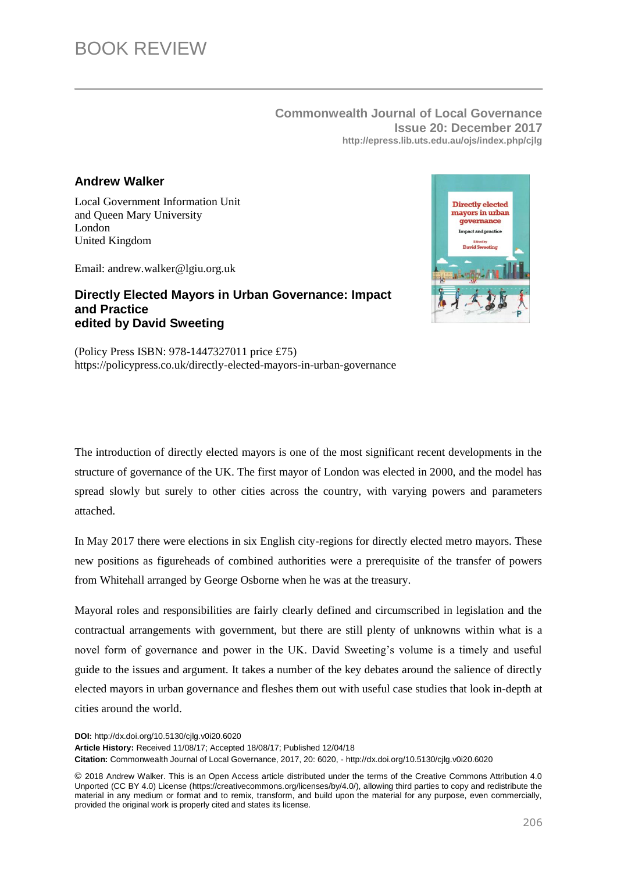**Commonwealth Journal of Local Governance Issue 20: December 2017 http://epress.lib.uts.edu.au/ojs/index.php/cjlg**

## **Andrew Walker**

Local Government Information Unit and Queen Mary University London United Kingdom

Email: andrew.walker@lgiu.org.uk

## **Directly Elected Mayors in Urban Governance: Impact and Practice edited by David Sweeting**



(Policy Press ISBN: 978-1447327011 price £75) https://policypress.co.uk/directly-elected-mayors-in-urban-governance

The introduction of directly elected mayors is one of the most significant recent developments in the structure of governance of the UK. The first mayor of London was elected in 2000, and the model has spread slowly but surely to other cities across the country, with varying powers and parameters attached.

In May 2017 there were elections in six English city-regions for directly elected metro mayors. These new positions as figureheads of combined authorities were a prerequisite of the transfer of powers from Whitehall arranged by George Osborne when he was at the treasury.

Mayoral roles and responsibilities are fairly clearly defined and circumscribed in legislation and the contractual arrangements with government, but there are still plenty of unknowns within what is a novel form of governance and power in the UK. David Sweeting's volume is a timely and useful guide to the issues and argument. It takes a number of the key debates around the salience of directly elected mayors in urban governance and fleshes them out with useful case studies that look in-depth at cities around the world.

**DOI:** <http://dx.doi.org/10.5130/cjlg.v0i20.6020>

**Article History:** Received 11/08/17; Accepted 18/08/17; Published 12/04/18

**Citation:** Commonwealth Journal of Local Governance, 2017, 20: 6020, - http://dx.doi.org/10.5130/cjlg.v0i20.6020

© 2018 Andrew Walker. This is an Open Access article distributed under the terms of the Creative Commons Attribution 4.0 Unported (CC BY 4.0) License (https://creativecommons.org/licenses/by/4.0/), allowing third parties to copy and redistribute the material in any medium or format and to remix, transform, and build upon the material for any purpose, even commercially, provided the original work is properly cited and states its license.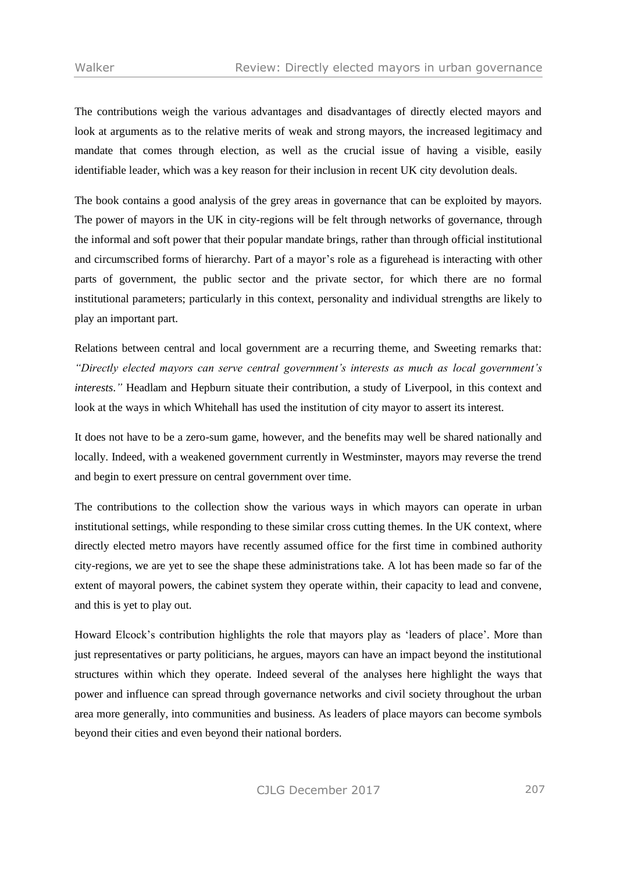The contributions weigh the various advantages and disadvantages of directly elected mayors and look at arguments as to the relative merits of weak and strong mayors, the increased legitimacy and mandate that comes through election, as well as the crucial issue of having a visible, easily identifiable leader, which was a key reason for their inclusion in recent UK city devolution deals.

The book contains a good analysis of the grey areas in governance that can be exploited by mayors. The power of mayors in the UK in city-regions will be felt through networks of governance, through the informal and soft power that their popular mandate brings, rather than through official institutional and circumscribed forms of hierarchy. Part of a mayor's role as a figurehead is interacting with other parts of government, the public sector and the private sector, for which there are no formal institutional parameters; particularly in this context, personality and individual strengths are likely to play an important part.

Relations between central and local government are a recurring theme, and Sweeting remarks that: *"Directly elected mayors can serve central government's interests as much as local government's interests*.*"* Headlam and Hepburn situate their contribution, a study of Liverpool, in this context and look at the ways in which Whitehall has used the institution of city mayor to assert its interest.

It does not have to be a zero-sum game, however, and the benefits may well be shared nationally and locally. Indeed, with a weakened government currently in Westminster, mayors may reverse the trend and begin to exert pressure on central government over time.

The contributions to the collection show the various ways in which mayors can operate in urban institutional settings, while responding to these similar cross cutting themes. In the UK context, where directly elected metro mayors have recently assumed office for the first time in combined authority city-regions, we are yet to see the shape these administrations take. A lot has been made so far of the extent of mayoral powers, the cabinet system they operate within, their capacity to lead and convene, and this is yet to play out.

Howard Elcock's contribution highlights the role that mayors play as 'leaders of place'. More than just representatives or party politicians, he argues, mayors can have an impact beyond the institutional structures within which they operate. Indeed several of the analyses here highlight the ways that power and influence can spread through governance networks and civil society throughout the urban area more generally, into communities and business. As leaders of place mayors can become symbols beyond their cities and even beyond their national borders.